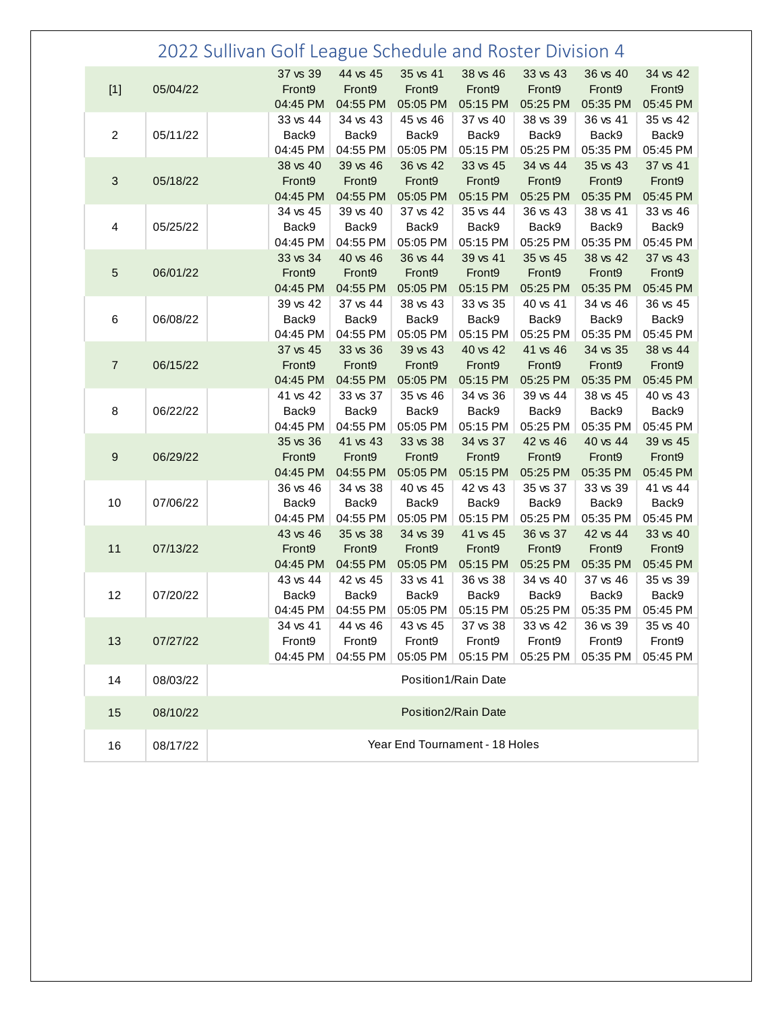|                  |          | 2022 Sullivan Golf League Schedule and Roster Division 4 |                                            |                                            |                                            |                                |                                |                                |                                            |  |
|------------------|----------|----------------------------------------------------------|--------------------------------------------|--------------------------------------------|--------------------------------------------|--------------------------------|--------------------------------|--------------------------------|--------------------------------------------|--|
| $[1]$            | 05/04/22 |                                                          | 37 vs 39<br>Front9<br>04:45 PM             | 44 vs 45<br>Front9<br>04:55 PM             | 35 vs 41<br>Front9<br>05:05 PM             | 38 vs 46<br>Front9<br>05:15 PM | 33 vs 43<br>Front9<br>05:25 PM | 36 vs 40<br>Front9<br>05:35 PM | 34 vs 42<br>Front9<br>05:45 PM             |  |
| $\overline{2}$   | 05/11/22 |                                                          | 33 vs 44<br>Back9<br>04:45 PM              | 34 vs 43<br>Back9<br>04:55 PM              | 45 vs 46<br>Back9<br>05:05 PM              | 37 vs 40<br>Back9<br>05:15 PM  | 38 vs 39<br>Back9<br>05:25 PM  | 36 vs 41<br>Back9<br>05:35 PM  | 35 vs 42<br>Back9<br>05:45 PM              |  |
| $\sqrt{3}$       | 05/18/22 |                                                          | 38 vs 40<br>Front9<br>04:45 PM             | 39 vs 46<br>Front9<br>04:55 PM             | 36 vs 42<br>Front9<br>05:05 PM             | 33 vs 45<br>Front9<br>05:15 PM | 34 vs 44<br>Front9<br>05:25 PM | 35 vs 43<br>Front9<br>05:35 PM | 37 vs 41<br>Front9<br>05:45 PM             |  |
| 4                | 05/25/22 |                                                          | 34 vs 45<br>Back9<br>04:45 PM              | 39 vs 40<br>Back9<br>04:55 PM              | 37 vs 42<br>Back9<br>05:05 PM              | 35 vs 44<br>Back9<br>05:15 PM  | 36 vs 43<br>Back9<br>05:25 PM  | 38 vs 41<br>Back9<br>05:35 PM  | 33 vs 46<br>Back9<br>05:45 PM              |  |
| $\sqrt{5}$       | 06/01/22 |                                                          | 33 vs 34<br>Front9<br>04:45 PM             | 40 vs 46<br>Front9<br>04:55 PM             | 36 vs 44<br>Front9<br>05:05 PM             | 39 vs 41<br>Front9<br>05:15 PM | 35 vs 45<br>Front9<br>05:25 PM | 38 vs 42<br>Front9<br>05:35 PM | 37 vs 43<br>Front9<br>05:45 PM             |  |
| 6                | 06/08/22 |                                                          | 39 vs 42<br>Back9<br>04:45 PM              | 37 vs 44<br>Back9<br>04:55 PM              | 38 vs 43<br>Back9<br>05:05 PM              | 33 vs 35<br>Back9<br>05:15 PM  | 40 vs 41<br>Back9<br>05:25 PM  | 34 vs 46<br>Back9<br>05:35 PM  | 36 vs 45<br>Back9<br>05:45 PM              |  |
| $\overline{7}$   | 06/15/22 |                                                          | 37 vs 45<br>Front9<br>04:45 PM             | 33 vs 36<br>Front9<br>04:55 PM             | 39 vs 43<br>Front9<br>05:05 PM             | 40 vs 42<br>Front9<br>05:15 PM | 41 vs 46<br>Front9<br>05:25 PM | 34 vs 35<br>Front9<br>05:35 PM | 38 vs 44<br>Front9<br>05:45 PM             |  |
| 8                | 06/22/22 |                                                          | 41 vs 42<br>Back9<br>04:45 PM              | 33 vs 37<br>Back9<br>04:55 PM              | 35 vs 46<br>Back9<br>05:05 PM              | 34 vs 36<br>Back9<br>05:15 PM  | 39 vs 44<br>Back9<br>05:25 PM  | 38 vs 45<br>Back9<br>05:35 PM  | 40 vs 43<br>Back9<br>05:45 PM              |  |
| $\boldsymbol{9}$ | 06/29/22 |                                                          | 35 vs 36<br>Front9<br>04:45 PM             | 41 vs 43<br>Front9<br>04:55 PM             | 33 vs 38<br>Front9<br>05:05 PM             | 34 vs 37<br>Front9<br>05:15 PM | 42 vs 46<br>Front9<br>05:25 PM | 40 vs 44<br>Front9<br>05:35 PM | 39 vs 45<br>Front9<br>05:45 PM             |  |
| 10               | 07/06/22 |                                                          | 36 vs 46<br>Back9<br>04:45 PM              | 34 vs 38<br>Back9<br>04:55 PM              | 40 vs 45<br>Back9<br>05:05 PM              | 42 vs 43<br>Back9<br>05:15 PM  | 35 vs 37<br>Back9<br>05:25 PM  | 33 vs 39<br>Back9<br>05:35 PM  | 41 vs 44<br>Back9<br>05:45 PM              |  |
| 11               | 07/13/22 |                                                          | 43 vs 46<br>Front9<br>04:45 PM             | 35 vs 38<br>Front9<br>04:55 PM             | 34 vs 39<br>Front9<br>05:05 PM             | 41 vs 45<br>Front9<br>05:15 PM | 36 vs 37<br>Front9<br>05:25 PM | 42 vs 44<br>Front9<br>05:35 PM | 33 vs 40<br>Front9<br>05:45 PM             |  |
| 12               | 07/20/22 |                                                          | 43 vs 44<br>Back9                          | 42 vs 45<br>Back9                          | 33 vs 41<br>Back9                          | 36 vs 38<br>Back9<br>05:15 PM  | 34 vs 40<br>Back9              | 37 vs 46<br>Back9<br>05:35 PM  | 35 vs 39<br>Back9                          |  |
| 13               | 07/27/22 |                                                          | 04:45 PM<br>34 vs 41<br>Front9<br>04:45 PM | 04:55 PM<br>44 vs 46<br>Front9<br>04:55 PM | 05:05 PM<br>43 vs 45<br>Front9<br>05:05 PM | 37 vs 38<br>Front9<br>05:15 PM | 05:25 PM<br>33 vs 42<br>Front9 | 36 vs 39<br>Front9<br>05:35 PM | 05:45 PM<br>35 vs 40<br>Front9<br>05:45 PM |  |
| 14               | 08/03/22 | 05:25 PM<br>Position1/Rain Date                          |                                            |                                            |                                            |                                |                                |                                |                                            |  |
| 15               | 08/10/22 | Position2/Rain Date                                      |                                            |                                            |                                            |                                |                                |                                |                                            |  |
| 16               | 08/17/22 | Year End Tournament - 18 Holes                           |                                            |                                            |                                            |                                |                                |                                |                                            |  |